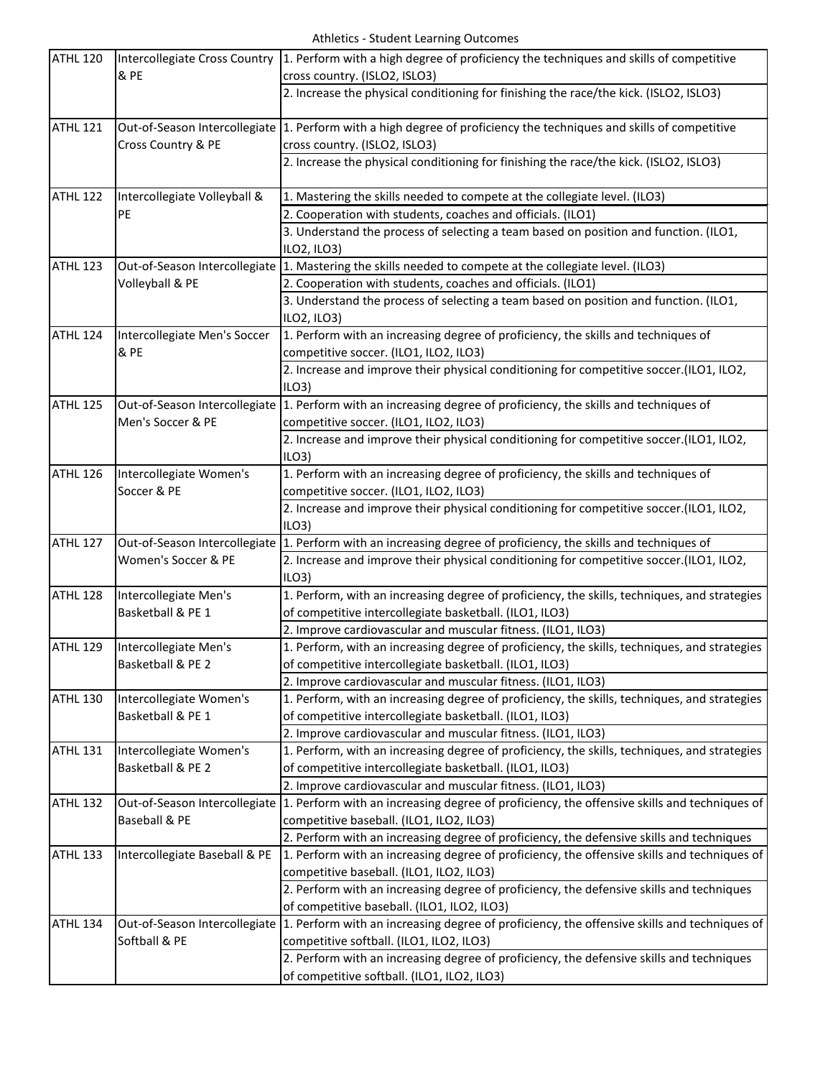| ATHL 120        | Intercollegiate Cross Country        | 1. Perform with a high degree of proficiency the techniques and skills of competitive                                                   |
|-----------------|--------------------------------------|-----------------------------------------------------------------------------------------------------------------------------------------|
|                 | & PE                                 | cross country. (ISLO2, ISLO3)                                                                                                           |
|                 |                                      | 2. Increase the physical conditioning for finishing the race/the kick. (ISLO2, ISLO3)                                                   |
| <b>ATHL 121</b> |                                      | Out-of-Season Intercollegiate 1. Perform with a high degree of proficiency the techniques and skills of competitive                     |
|                 | Cross Country & PE                   | cross country. (ISLO2, ISLO3)                                                                                                           |
|                 |                                      | 2. Increase the physical conditioning for finishing the race/the kick. (ISLO2, ISLO3)                                                   |
| <b>ATHL 122</b> | Intercollegiate Volleyball &         | 1. Mastering the skills needed to compete at the collegiate level. (ILO3)                                                               |
|                 | PE                                   | 2. Cooperation with students, coaches and officials. (ILO1)                                                                             |
|                 |                                      | 3. Understand the process of selecting a team based on position and function. (ILO1,<br>ILO2, ILO3)                                     |
| <b>ATHL 123</b> | Volleyball & PE                      | Out-of-Season Intercollegiate 1. Mastering the skills needed to compete at the collegiate level. (ILO3)                                 |
|                 |                                      | 2. Cooperation with students, coaches and officials. (ILO1)                                                                             |
|                 |                                      | 3. Understand the process of selecting a team based on position and function. (ILO1,                                                    |
|                 |                                      | ILO2, ILO3)                                                                                                                             |
| ATHL 124        | Intercollegiate Men's Soccer<br>& PE | 1. Perform with an increasing degree of proficiency, the skills and techniques of                                                       |
|                 |                                      | competitive soccer. (ILO1, ILO2, ILO3)                                                                                                  |
|                 |                                      | 2. Increase and improve their physical conditioning for competitive soccer.(ILO1, ILO2,                                                 |
|                 |                                      | ILO3                                                                                                                                    |
| <b>ATHL 125</b> | Men's Soccer & PE                    | Out-of-Season Intercollegiate 1. Perform with an increasing degree of proficiency, the skills and techniques of                         |
|                 |                                      | competitive soccer. (ILO1, ILO2, ILO3)                                                                                                  |
|                 |                                      | 2. Increase and improve their physical conditioning for competitive soccer.(ILO1, ILO2,                                                 |
|                 |                                      | ILO3                                                                                                                                    |
| ATHL 126        | Intercollegiate Women's              | 1. Perform with an increasing degree of proficiency, the skills and techniques of                                                       |
|                 | Soccer & PE                          | competitive soccer. (ILO1, ILO2, ILO3)                                                                                                  |
|                 |                                      | 2. Increase and improve their physical conditioning for competitive soccer.(ILO1, ILO2,                                                 |
|                 |                                      | ILO3                                                                                                                                    |
| ATHL 127        | Women's Soccer & PE                  | Out-of-Season Intercollegiate 1. Perform with an increasing degree of proficiency, the skills and techniques of                         |
|                 |                                      | 2. Increase and improve their physical conditioning for competitive soccer.(ILO1, ILO2,                                                 |
|                 |                                      | ILO3                                                                                                                                    |
| <b>ATHL 128</b> | Intercollegiate Men's                | 1. Perform, with an increasing degree of proficiency, the skills, techniques, and strategies                                            |
|                 | Basketball & PE 1                    | of competitive intercollegiate basketball. (ILO1, ILO3)                                                                                 |
|                 |                                      | 2. Improve cardiovascular and muscular fitness. (ILO1, ILO3)                                                                            |
| ATHL 129        | Intercollegiate Men's                | 1. Perform, with an increasing degree of proficiency, the skills, techniques, and strategies                                            |
|                 | Basketball & PE 2                    | of competitive intercollegiate basketball. (ILO1, ILO3)                                                                                 |
|                 |                                      | 2. Improve cardiovascular and muscular fitness. (ILO1, ILO3)                                                                            |
| <b>ATHL 130</b> | Intercollegiate Women's              | 1. Perform, with an increasing degree of proficiency, the skills, techniques, and strategies                                            |
|                 | Basketball & PE 1                    | of competitive intercollegiate basketball. (ILO1, ILO3)                                                                                 |
|                 |                                      | 2. Improve cardiovascular and muscular fitness. (ILO1, ILO3)                                                                            |
| <b>ATHL 131</b> | Intercollegiate Women's              | 1. Perform, with an increasing degree of proficiency, the skills, techniques, and strategies                                            |
|                 | Basketball & PE 2                    | of competitive intercollegiate basketball. (ILO1, ILO3)                                                                                 |
|                 |                                      | 2. Improve cardiovascular and muscular fitness. (ILO1, ILO3)                                                                            |
| ATHL 132        | Out-of-Season Intercollegiate        | 1. Perform with an increasing degree of proficiency, the offensive skills and techniques of                                             |
|                 | Baseball & PE                        | competitive baseball. (ILO1, ILO2, ILO3)                                                                                                |
|                 |                                      | 2. Perform with an increasing degree of proficiency, the defensive skills and techniques                                                |
| ATHL 133        | Intercollegiate Baseball & PE        | 1. Perform with an increasing degree of proficiency, the offensive skills and techniques of<br>competitive baseball. (ILO1, ILO2, ILO3) |
|                 |                                      |                                                                                                                                         |
|                 |                                      | 2. Perform with an increasing degree of proficiency, the defensive skills and techniques                                                |
|                 |                                      | of competitive baseball. (ILO1, ILO2, ILO3)                                                                                             |
| ATHL 134        | Softball & PE                        | Out-of-Season Intercollegiate 1. Perform with an increasing degree of proficiency, the offensive skills and techniques of               |
|                 |                                      | competitive softball. (ILO1, ILO2, ILO3)<br>2. Perform with an increasing degree of proficiency, the defensive skills and techniques    |
|                 |                                      | of competitive softball. (ILO1, ILO2, ILO3)                                                                                             |
|                 |                                      |                                                                                                                                         |